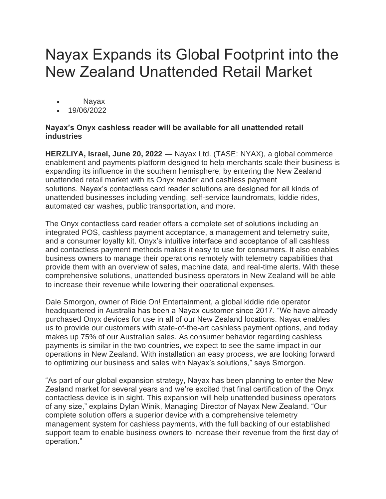## Nayax Expands its Global Footprint into the New Zealand Unattended Retail Market

- Nayax
- 19/06/2022

## **Nayax's Onyx cashless reader will be available for all unattended retail industries**

**HERZLIYA, Israel, June 20, 2022** — Nayax Ltd. (TASE: NYAX), a global commerce enablement and payments platform designed to help merchants scale their business is expanding its influence in the southern hemisphere, by entering the New Zealand unattended retail market with its Onyx reader and cashless payment solutions. Nayax's contactless card reader solutions are designed for all kinds of unattended businesses including vending, self-service laundromats, kiddie rides, automated car washes, public transportation, and more.

The Onyx contactless card reader offers a complete set of solutions including an integrated POS, cashless payment acceptance, a management and telemetry suite, and a consumer loyalty kit. Onyx's intuitive interface and acceptance of all cashless and contactless payment methods makes it easy to use for consumers. It also enables business owners to manage their operations remotely with telemetry capabilities that provide them with an overview of sales, machine data, and real-time alerts. With these comprehensive solutions, unattended business operators in New Zealand will be able to increase their revenue while lowering their operational expenses.

Dale Smorgon, owner of Ride On! Entertainment, a global kiddie ride operator headquartered in Australia has been a Nayax customer since 2017. "We have already purchased Onyx devices for use in all of our New Zealand locations. Nayax enables us to provide our customers with state-of-the-art cashless payment options, and today makes up 75% of our Australian sales. As consumer behavior regarding cashless payments is similar in the two countries, we expect to see the same impact in our operations in New Zealand. With installation an easy process, we are looking forward to optimizing our business and sales with Nayax's solutions," says Smorgon.

"As part of our global expansion strategy, Nayax has been planning to enter the New Zealand market for several years and we're excited that final certification of the Onyx contactless device is in sight. This expansion will help unattended business operators of any size," explains Dylan Winik, Managing Director of Nayax New Zealand. "Our complete solution offers a superior device with a comprehensive telemetry management system for cashless payments, with the full backing of our established support team to enable business owners to increase their revenue from the first day of operation."